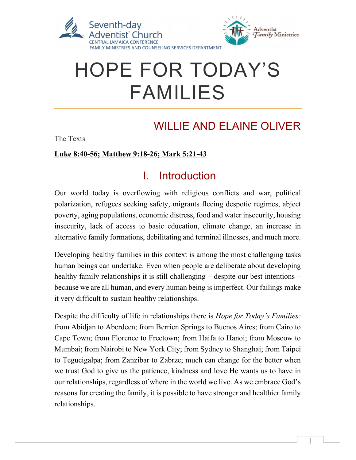

# HOPE FOR TODAY'S FAMILIES

# WILLIE AND ELAINE OLIVER

The Texts

#### Luke 8:40-56; Matthew 9:18-26; Mark 5:21-43

#### I. Introduction

Our world today is overflowing with religious conflicts and war, political polarization, refugees seeking safety, migrants fleeing despotic regimes, abject poverty, aging populations, economic distress, food and water insecurity, housing insecurity, lack of access to basic education, climate change, an increase in alternative family formations, debilitating and terminal illnesses, and much more.

Developing healthy families in this context is among the most challenging tasks human beings can undertake. Even when people are deliberate about developing healthy family relationships it is still challenging – despite our best intentions – because we are all human, and every human being is imperfect. Our failings make it very difficult to sustain healthy relationships.

Despite the difficulty of life in relationships there is *Hope for Today's Families*: from Abidjan to Aberdeen; from Berrien Springs to Buenos Aires; from Cairo to Cape Town; from Florence to Freetown; from Haifa to Hanoi; from Moscow to Mumbai; from Nairobi to New York City; from Sydney to Shanghai; from Taipei to Tegucigalpa; from Zanzibar to Zabrze; much can change for the better when we trust God to give us the patience, kindness and love He wants us to have in our relationships, regardless of where in the world we live. As we embrace God's reasons for creating the family, it is possible to have stronger and healthier family relationships.

 $\overline{a}$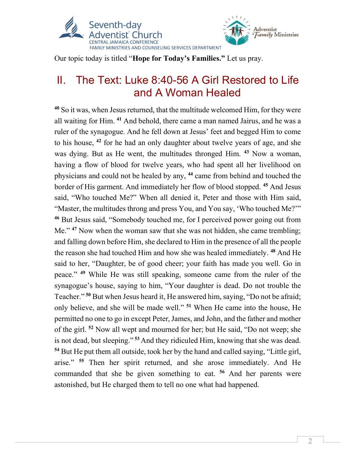

Our topic today is titled "Hope for Today's Families." Let us pray.

### II. The Text: Luke 8:40-56 A Girl Restored to Life and A Woman Healed

<sup>40</sup> So it was, when Jesus returned, that the multitude welcomed Him, for they were all waiting for Him. <sup>41</sup> And behold, there came a man named Jairus, and he was a ruler of the synagogue. And he fell down at Jesus' feet and begged Him to come to his house, <sup>42</sup> for he had an only daughter about twelve years of age, and she was dying. But as He went, the multitudes thronged Him. <sup>43</sup> Now a woman, having a flow of blood for twelve years, who had spent all her livelihood on physicians and could not be healed by any, <sup>44</sup> came from behind and touched the border of His garment. And immediately her flow of blood stopped. <sup>45</sup> And Jesus said, "Who touched Me?" When all denied it, Peter and those with Him said, "Master, the multitudes throng and press You, and You say, 'Who touched Me?'" <sup>46</sup> But Jesus said, "Somebody touched me, for I perceived power going out from Me."<sup>47</sup> Now when the woman saw that she was not hidden, she came trembling; and falling down before Him, she declared to Him in the presence of all the people the reason she had touched Him and how she was healed immediately. <sup>48</sup> And He said to her, "Daughter, be of good cheer; your faith has made you well. Go in peace." <sup>49</sup> While He was still speaking, someone came from the ruler of the synagogue's house, saying to him, "Your daughter is dead. Do not trouble the Teacher." <sup>50</sup> But when Jesus heard it, He answered him, saying, "Do not be afraid; only believe, and she will be made well." <sup>51</sup> When He came into the house, He permitted no one to go in except Peter, James, and John, and the father and mother of the girl. <sup>52</sup> Now all wept and mourned for her; but He said, "Do not weep; she is not dead, but sleeping."<sup>53</sup> And they ridiculed Him, knowing that she was dead. <sup>54</sup> But He put them all outside, took her by the hand and called saying, "Little girl, arise." <sup>55</sup> Then her spirit returned, and she arose immediately. And He commanded that she be given something to eat. <sup>56</sup> And her parents were astonished, but He charged them to tell no one what had happened.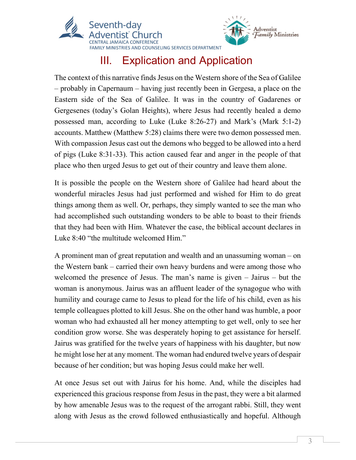

# III. Explication and Application

Adventist<br>*Family* Ministries

The context of this narrative finds Jesus on the Western shore of the Sea of Galilee – probably in Capernaum – having just recently been in Gergesa, a place on the Eastern side of the Sea of Galilee. It was in the country of Gadarenes or Gergesenes (today's Golan Heights), where Jesus had recently healed a demo possessed man, according to Luke (Luke 8:26-27) and Mark's (Mark 5:1-2) accounts. Matthew (Matthew 5:28) claims there were two demon possessed men. With compassion Jesus cast out the demons who begged to be allowed into a herd of pigs (Luke 8:31-33). This action caused fear and anger in the people of that place who then urged Jesus to get out of their country and leave them alone.

It is possible the people on the Western shore of Galilee had heard about the wonderful miracles Jesus had just performed and wished for Him to do great things among them as well. Or, perhaps, they simply wanted to see the man who had accomplished such outstanding wonders to be able to boast to their friends that they had been with Him. Whatever the case, the biblical account declares in Luke 8:40 "the multitude welcomed Him."

A prominent man of great reputation and wealth and an unassuming woman – on the Western bank – carried their own heavy burdens and were among those who welcomed the presence of Jesus. The man's name is given – Jairus – but the woman is anonymous. Jairus was an affluent leader of the synagogue who with humility and courage came to Jesus to plead for the life of his child, even as his temple colleagues plotted to kill Jesus. She on the other hand was humble, a poor woman who had exhausted all her money attempting to get well, only to see her condition grow worse. She was desperately hoping to get assistance for herself. Jairus was gratified for the twelve years of happiness with his daughter, but now he might lose her at any moment. The woman had endured twelve years of despair because of her condition; but was hoping Jesus could make her well.

At once Jesus set out with Jairus for his home. And, while the disciples had experienced this gracious response from Jesus in the past, they were a bit alarmed by how amenable Jesus was to the request of the arrogant rabbi. Still, they went along with Jesus as the crowd followed enthusiastically and hopeful. Although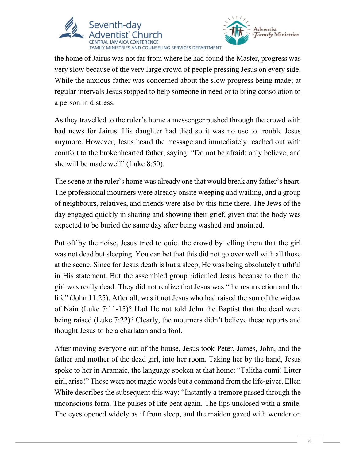



the home of Jairus was not far from where he had found the Master, progress was very slow because of the very large crowd of people pressing Jesus on every side. While the anxious father was concerned about the slow progress being made; at regular intervals Jesus stopped to help someone in need or to bring consolation to a person in distress.

As they travelled to the ruler's home a messenger pushed through the crowd with bad news for Jairus. His daughter had died so it was no use to trouble Jesus anymore. However, Jesus heard the message and immediately reached out with comfort to the brokenhearted father, saying: "Do not be afraid; only believe, and she will be made well" (Luke 8:50).

The scene at the ruler's home was already one that would break any father's heart. The professional mourners were already onsite weeping and wailing, and a group of neighbours, relatives, and friends were also by this time there. The Jews of the day engaged quickly in sharing and showing their grief, given that the body was expected to be buried the same day after being washed and anointed.

Put off by the noise, Jesus tried to quiet the crowd by telling them that the girl was not dead but sleeping. You can bet that this did not go over well with all those at the scene. Since for Jesus death is but a sleep, He was being absolutely truthful in His statement. But the assembled group ridiculed Jesus because to them the girl was really dead. They did not realize that Jesus was "the resurrection and the life" (John 11:25). After all, was it not Jesus who had raised the son of the widow of Nain (Luke 7:11-15)? Had He not told John the Baptist that the dead were being raised (Luke 7:22)? Clearly, the mourners didn't believe these reports and thought Jesus to be a charlatan and a fool.

After moving everyone out of the house, Jesus took Peter, James, John, and the father and mother of the dead girl, into her room. Taking her by the hand, Jesus spoke to her in Aramaic, the language spoken at that home: "Talitha cumi! Litter girl, arise!" These were not magic words but a command from the life-giver. Ellen White describes the subsequent this way: "Instantly a tremore passed through the unconscious form. The pulses of life beat again. The lips unclosed with a smile. The eyes opened widely as if from sleep, and the maiden gazed with wonder on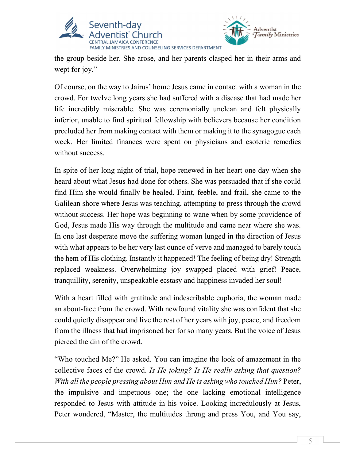



the group beside her. She arose, and her parents clasped her in their arms and wept for joy."

Of course, on the way to Jairus' home Jesus came in contact with a woman in the crowd. For twelve long years she had suffered with a disease that had made her life incredibly miserable. She was ceremonially unclean and felt physically inferior, unable to find spiritual fellowship with believers because her condition precluded her from making contact with them or making it to the synagogue each week. Her limited finances were spent on physicians and esoteric remedies without success.

In spite of her long night of trial, hope renewed in her heart one day when she heard about what Jesus had done for others. She was persuaded that if she could find Him she would finally be healed. Faint, feeble, and frail, she came to the Galilean shore where Jesus was teaching, attempting to press through the crowd without success. Her hope was beginning to wane when by some providence of God, Jesus made His way through the multitude and came near where she was. In one last desperate move the suffering woman lunged in the direction of Jesus with what appears to be her very last ounce of verve and managed to barely touch the hem of His clothing. Instantly it happened! The feeling of being dry! Strength replaced weakness. Overwhelming joy swapped placed with grief! Peace, tranquillity, serenity, unspeakable ecstasy and happiness invaded her soul!

With a heart filled with gratitude and indescribable euphoria, the woman made an about-face from the crowd. With newfound vitality she was confident that she could quietly disappear and live the rest of her years with joy, peace, and freedom from the illness that had imprisoned her for so many years. But the voice of Jesus pierced the din of the crowd.

"Who touched Me?" He asked. You can imagine the look of amazement in the collective faces of the crowd. Is He joking? Is He really asking that question? With all the people pressing about Him and He is asking who touched Him? Peter, the impulsive and impetuous one; the one lacking emotional intelligence responded to Jesus with attitude in his voice. Looking incredulously at Jesus, Peter wondered, "Master, the multitudes throng and press You, and You say,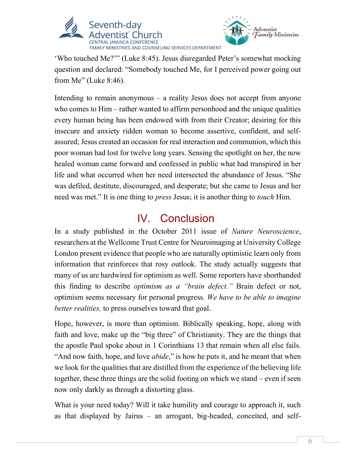



'Who touched Me?'" (Luke 8:45). Jesus disregarded Peter's somewhat mocking question and declared: "Somebody touched Me, for I perceived power going out from Me" (Luke 8:46).

Intending to remain anonymous – a reality Jesus does not accept from anyone who comes to Him – rather wanted to affirm personhood and the unique qualities every human being has been endowed with from their Creator; desiring for this insecure and anxiety ridden woman to become assertive, confident, and selfassured; Jesus created an occasion for real interaction and communion, which this poor woman had lost for twelve long years. Sensing the spotlight on her, the now healed woman came forward and confessed in public what had transpired in her life and what occurred when her need intersected the abundance of Jesus. "She was defiled, destitute, discouraged, and desperate; but she came to Jesus and her need was met." It is one thing to *press* Jesus; it is another thing to *touch* Him.

#### IV. Conclusion

In a study published in the October 2011 issue of Nature Neuroscience, researchers at the Wellcome Trust Centre for Neuroimaging at University College London present evidence that people who are naturally optimistic learn only from information that reinforces that rosy outlook. The study actually suggests that many of us are hardwired for optimism as well. Some reporters have shorthanded this finding to describe *optimism as a "brain defect*." Brain defect or not, optimism seems necessary for personal progress. We have to be able to imagine better realities, to press ourselves toward that goal.

Hope, however, is more than optimism. Biblically speaking, hope, along with faith and love, make up the "big three" of Christianity. They are the things that the apostle Paul spoke about in 1 Corinthians 13 that remain when all else fails. "And now faith, hope, and love *abide*," is how he puts it, and he meant that when we look for the qualities that are distilled from the experience of the believing life together, these three things are the solid footing on which we stand – even if seen now only darkly as through a distorting glass.

What is your need today? Will it take humility and courage to approach it, such as that displayed by Jairus – an arrogant, big-headed, conceited, and self-